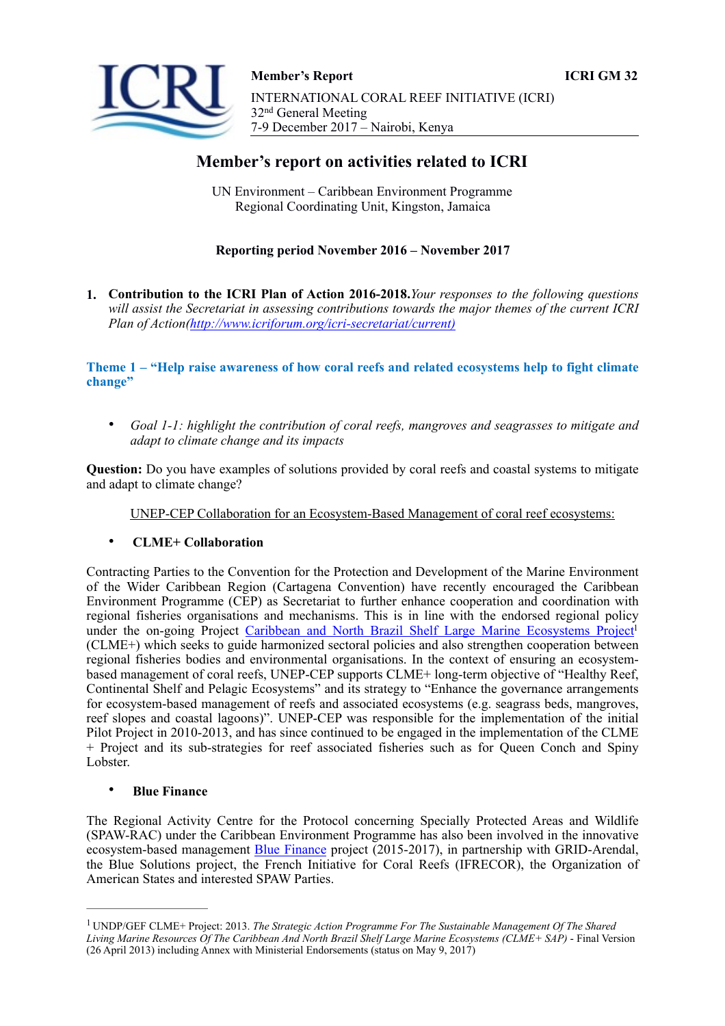



# **Member's report on activities related to ICRI**

UN Environment – Caribbean Environment Programme Regional Coordinating Unit, Kingston, Jamaica

# **Reporting period November 2016 – November 2017**

**1. Contribution to the ICRI Plan of Action 2016-2018.***Your responses to the following questions will assist the Secretariat in assessing contributions towards the major themes of the current ICRI Plan of Action[\(http://www.icriforum.org/icri-secretariat/current](http://www.icriforum.org/icri-secretariat/current)[\)](http://www.icriforum.org/icri-secretariat/current))*

**Theme 1 – "Help raise awareness of how coral reefs and related ecosystems help to fight climate change"** 

• *Goal 1-1: highlight the contribution of coral reefs, mangroves and seagrasses to mitigate and adapt to climate change and its impacts*

**Question:** Do you have examples of solutions provided by coral reefs and coastal systems to mitigate and adapt to climate change?

<span id="page-0-1"></span>UNEP-CEP Collaboration for an Ecosystem-Based Management of coral reef ecosystems:

## • **CLME+ Collaboration**

Contracting Parties to the Convention for the Protection and Development of the Marine Environment of the Wider Caribbean Region (Cartagena Convention) have recently encouraged the Caribbean Environment Programme (CEP) as Secretariat to further enhance cooperation and coordination with regional fisheries organisations and mechanisms. This is in line with the endorsed regional policy under the on-going Project Caribbean and North Brazil Shelf Large Marine Ecosystems Project<sup>1</sup> (CLME+) which seeks to guide harmonized sectoral policies and also strengthen cooperation between regional fisheries bodies and environmental organisations. In the context of ensuring an ecosystembased management of coral reefs, UNEP-CEP supports CLME+ long-term objective of "Healthy Reef, Continental Shelf and Pelagic Ecosystems" and its strategy to "Enhance the governance arrangements for ecosystem-based management of reefs and associated ecosystems (e.g. seagrass beds, mangroves, reef slopes and coastal lagoons)". UNEP-CEP was responsible for the implementation of the initial Pilot Project in 2010-2013, and has since continued to be engaged in the implementation of the CLME + Project and its sub-strategies for reef associated fisheries such as for Queen Conch and Spiny Lobster.

## • **Blue Finance**

The Regional Activity Centre for the Protocol concerning Specially Protected Areas and Wildlife (SPAW-RAC) under the Caribbean Environment Programme has also been involved in the innovative ecosystem-based management Blue Finance project (2015-2017), in partnership with GRID-Arendal, the Blue Solutions project, the French Initiative for Coral Reefs (IFRECOR), the Organization of American States and interested SPAW Parties.

<span id="page-0-0"></span>UNDP/GEF CLME+ Project: 2013. *The Strategic Action Programme For The Sustainable Management Of The Shared* [1](#page-0-1) *Living Marine Resources Of The Caribbean And North Brazil Shelf Large Marine Ecosystems (CLME+ SAP)* - Final Version (26 April 2013) including Annex with Ministerial Endorsements (status on May 9, 2017)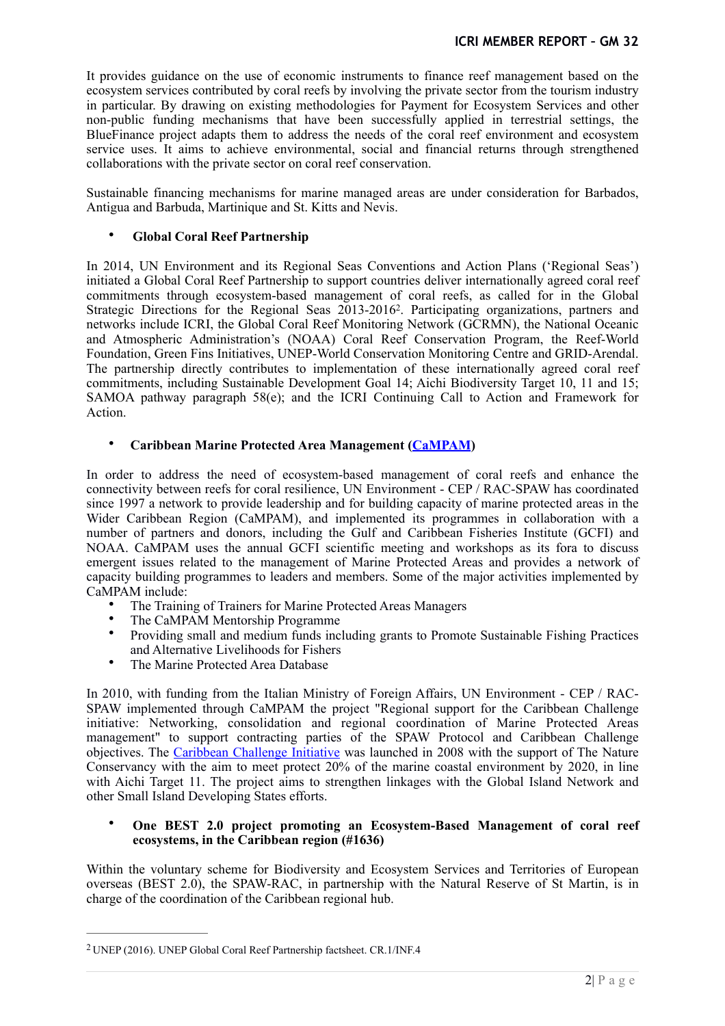It provides guidance on the use of economic instruments to finance reef management based on the ecosystem services contributed by coral reefs by involving the private sector from the tourism industry in particular. By drawing on existing methodologies for Payment for Ecosystem Services and other non-public funding mechanisms that have been successfully applied in terrestrial settings, the BlueFinance project adapts them to address the needs of the coral reef environment and ecosystem service uses. It aims to achieve environmental, social and financial returns through strengthened collaborations with the private sector on coral reef conservation.

Sustainable financing mechanisms for marine managed areas are under consideration for Barbados, Antigua and Barbuda, Martinique and St. Kitts and Nevis.

## <span id="page-1-1"></span>• **Global Coral Reef Partnership**

In 2014, UN Environment and its Regional Seas Conventions and Action Plans ('Regional Seas') initiated a Global Coral Reef Partnership to support countries deliver internationally agreed coral reef commitments through ecosystem-based management of coral reefs, as called for in the Global Strategic Directions for the Regional Seas 2013-2016<sup>2</sup>[.](#page-1-0) Participating organizations, partners and networks include ICRI, the Global Coral Reef Monitoring Network (GCRMN), the National Oceanic and Atmospheric Administration's (NOAA) Coral Reef Conservation Program, the Reef-World Foundation, Green Fins Initiatives, UNEP-World Conservation Monitoring Centre and GRID-Arendal. The partnership directly contributes to implementation of these internationally agreed coral reef commitments, including Sustainable Development Goal 14; Aichi Biodiversity Target 10, 11 and 15; SAMOA pathway paragraph 58(e); and the ICRI Continuing Call to Action and Framework for Action.

## • **Caribbean Marine Protected Area Management (CaMPAM)**

In order to address the need of ecosystem-based management of coral reefs and enhance the connectivity between reefs for coral resilience, UN Environment - CEP / RAC-SPAW has coordinated since 1997 a network to provide leadership and for building capacity of marine protected areas in the Wider Caribbean Region (CaMPAM), and implemented its programmes in collaboration with a number of partners and donors, including the Gulf and Caribbean Fisheries Institute (GCFI) and NOAA. CaMPAM uses the annual GCFI scientific meeting and workshops as its fora to discuss emergent issues related to the management of Marine Protected Areas and provides a network of capacity building programmes to leaders and members. Some of the major activities implemented by CaMPAM include:

- The Training of Trainers for Marine Protected Areas Managers
- The CaMPAM Mentorship Programme
- Providing small and medium funds including grants to Promote Sustainable Fishing Practices and Alternative Livelihoods for Fishers
- The Marine Protected Area Database

In 2010, with funding from the Italian Ministry of Foreign Affairs, UN Environment - CEP / RAC-SPAW implemented through CaMPAM the project "Regional support for the Caribbean Challenge initiative: Networking, consolidation and regional coordination of Marine Protected Areas management" to support contracting parties of the SPAW Protocol and Caribbean Challenge objectives. The Caribbean Challenge Initiative was launched in 2008 with the support of The Nature Conservancy with the aim to meet protect 20% of the marine coastal environment by 2020, in line with Aichi Target 11. The project aims to strengthen linkages with the Global Island Network and other Small Island Developing States efforts.

#### • **One BEST 2.0 project promoting an Ecosystem-Based Management of coral reef ecosystems, in the Caribbean region (#1636)**

Within the voluntary scheme for Biodiversity and Ecosystem Services and Territories of European overseas (BEST 2.0), the SPAW-RAC, in partnership with the Natural Reserve of St Martin, is in charge of the coordination of the Caribbean regional hub.

<span id="page-1-0"></span>UNEP (2016). UNEP Global Coral Reef Partnership factsheet. CR.1/INF.4 [2](#page-1-1)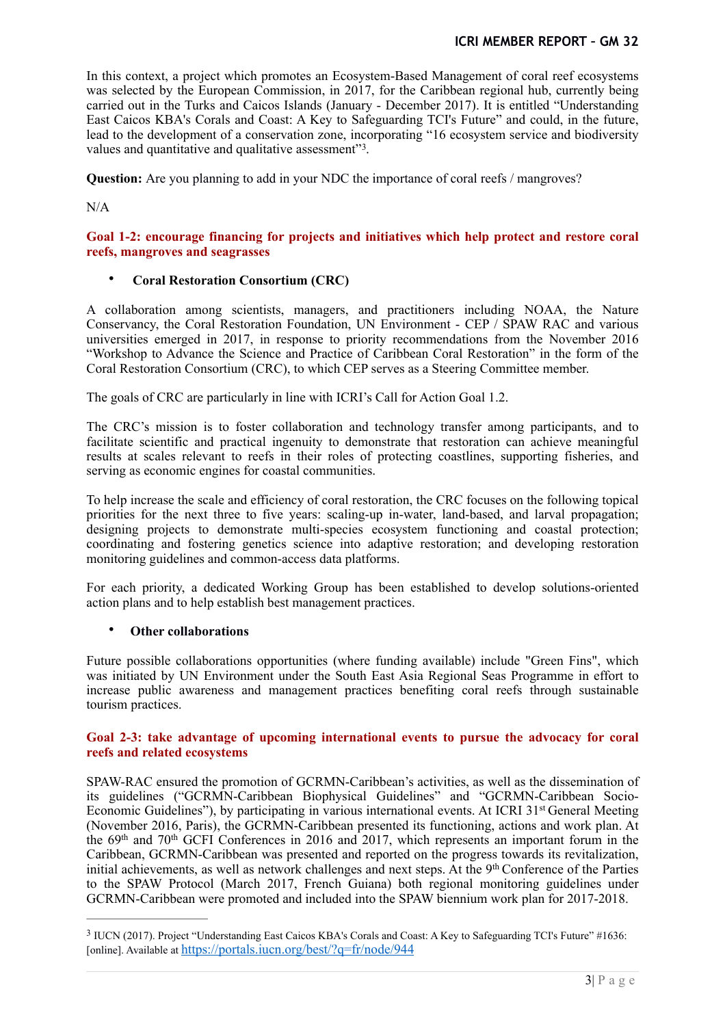In this context, a project which promotes an Ecosystem-Based Management of coral reef ecosystems was selected by the European Commission, in 2017, for the Caribbean regional hub, currently being carried out in the Turks and Caicos Islands (January - December 2017). It is entitled "Understanding East Caicos KBA's Corals and Coast: A Key to Safeguarding TCI's Future" and could, in the future, lead to the development of a conservation zone, incorporating "16 ecosystem service and biodiversity values and quantitative and qualitative assessment"<sup>[3](#page-2-0)</sup>.

<span id="page-2-1"></span>**Question:** Are you planning to add in your NDC the importance of coral reefs / mangroves?

N/A

## **Goal 1-2: encourage financing for projects and initiatives which help protect and restore coral reefs, mangroves and seagrasses**

# • **Coral Restoration Consortium (CRC)**

A collaboration among scientists, managers, and practitioners including NOAA, the Nature Conservancy, the Coral Restoration Foundation, UN Environment - CEP / SPAW RAC and various universities emerged in 2017, in response to priority recommendations from the November 2016 "Workshop to Advance the Science and Practice of Caribbean Coral Restoration" in the form of the Coral Restoration Consortium (CRC), to which CEP serves as a Steering Committee member.

The goals of CRC are particularly in line with ICRI's Call for Action Goal 1.2.

The CRC's mission is to foster collaboration and technology transfer among participants, and to facilitate scientific and practical ingenuity to demonstrate that restoration can achieve meaningful results at scales relevant to reefs in their roles of protecting coastlines, supporting fisheries, and serving as economic engines for coastal communities.

To help increase the scale and efficiency of coral restoration, the CRC focuses on the following topical priorities for the next three to five years: scaling-up in-water, land-based, and larval propagation; designing projects to demonstrate multi-species ecosystem functioning and coastal protection; coordinating and fostering genetics science into adaptive restoration; and developing restoration monitoring guidelines and common-access data platforms.

For each priority, a dedicated Working Group has been established to develop solutions-oriented action plans and to help establish best management practices.

## • **Other collaborations**

Future possible collaborations opportunities (where funding available) include "Green Fins", which was initiated by UN Environment under the South East Asia Regional Seas Programme in effort to increase public awareness and management practices benefiting coral reefs through sustainable tourism practices.

#### **Goal 2-3: take advantage of upcoming international events to pursue the advocacy for coral reefs and related ecosystems**

SPAW-RAC ensured the promotion of GCRMN-Caribbean's activities, as well as the dissemination of its guidelines ("GCRMN-Caribbean Biophysical Guidelines" and "GCRMN-Caribbean Socio-Economic Guidelines"), by participating in various international events. At ICRI 31<sup>st</sup> General Meeting (November 2016, Paris), the GCRMN-Caribbean presented its functioning, actions and work plan. At the 69th and 70th GCFI Conferences in 2016 and 2017, which represents an important forum in the Caribbean, GCRMN-Caribbean was presented and reported on the progress towards its revitalization, initial achievements, as well as network challenges and next steps. At the 9<sup>th</sup> Conference of the Parties to the SPAW Protocol (March 2017, French Guiana) both regional monitoring guidelines under GCRMN-Caribbean were promoted and included into the SPAW biennium work plan for 2017-2018.

<span id="page-2-0"></span><sup>&</sup>lt;sup>3</sup>IUCN (2017). Project "Understanding East Caicos KBA's Corals and Coast: A Key to Safeguarding TCI's Future" #16[3](#page-2-1)6: [online]. Available at <https://portals.iucn.org/best/?q=fr/node/944>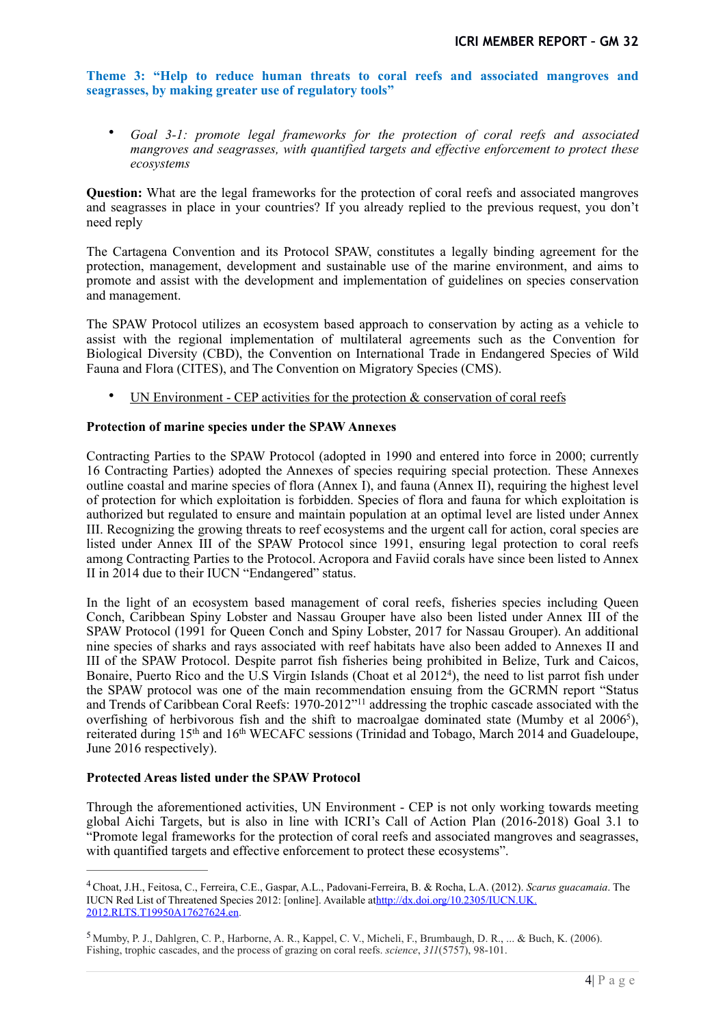**Theme 3: "Help to reduce human threats to coral reefs and associated mangroves and seagrasses, by making greater use of regulatory tools"** 

• *Goal 3-1: promote legal frameworks for the protection of coral reefs and associated mangroves and seagrasses, with quantified targets and effective enforcement to protect these ecosystems* 

**Question:** What are the legal frameworks for the protection of coral reefs and associated mangroves and seagrasses in place in your countries? If you already replied to the previous request, you don't need reply

The Cartagena Convention and its Protocol SPAW, constitutes a legally binding agreement for the protection, management, development and sustainable use of the marine environment, and aims to promote and assist with the development and implementation of guidelines on species conservation and management.

The SPAW Protocol utilizes an ecosystem based approach to conservation by acting as a vehicle to assist with the regional implementation of multilateral agreements such as the Convention for Biological Diversity (CBD), the Convention on International Trade in Endangered Species of Wild Fauna and Flora (CITES), and The Convention on Migratory Species (CMS).

• UN Environment - CEP activities for the protection & conservation of coral reefs

## **Protection of marine species under the SPAW Annexes**

Contracting Parties to the SPAW Protocol (adopted in 1990 and entered into force in 2000; currently 16 Contracting Parties) adopted the Annexes of species requiring special protection. These Annexes outline coastal and marine species of flora (Annex I), and fauna (Annex II), requiring the highest level of protection for which exploitation is forbidden. Species of flora and fauna for which exploitation is authorized but regulated to ensure and maintain population at an optimal level are listed under Annex III. Recognizing the growing threats to reef ecosystems and the urgent call for action, coral species are listed under Annex III of the SPAW Protocol since 1991, ensuring legal protection to coral reefs among Contracting Parties to the Protocol. Acropora and Faviid corals have since been listed to Annex II in 2014 due to their IUCN "Endangered" status.

<span id="page-3-2"></span>In the light of an ecosystem based management of coral reefs, fisheries species including Queen Conch, Caribbean Spiny Lobster and Nassau Grouper have also been listed under Annex III of the SPAW Protocol (1991 for Queen Conch and Spiny Lobster, 2017 for Nassau Grouper). An additional nine species of sharks and rays associated with reef habitats have also been added to Annexes II and III of the SPAW Protocol. Despite parrot fish fisheries being prohibited in Belize, Turk and Caicos, Bonaire, Puerto Rico and the U.S Virgin Islands (Choat et al  $2012<sup>4</sup>$  $2012<sup>4</sup>$  $2012<sup>4</sup>$ [\)](#page-3-0), the need to list parrot fish under the SPAW protocol was one of the main recommendation ensuing from the GCRMN report "Status and Trends of Caribbean Coral Reefs: 1970-2012"11 addressing the trophic cascade associated with the overfishing of herbivorous fish and the shift to macroalgae dominated state (Mumby et al 2006<sup>5</sup>[\)](#page-3-1), reiterated during 15th and 16th WECAFC sessions (Trinidad and Tobago, March 2014 and Guadeloupe, June 2016 respectively).

## <span id="page-3-3"></span>**Protected Areas listed under the SPAW Protocol**

Through the aforementioned activities, UN Environment - CEP is not only working towards meeting global Aichi Targets, but is also in line with ICRI's Call of Action Plan (2016-2018) Goal 3.1 to "Promote legal frameworks for the protection of coral reefs and associated mangroves and seagrasses, with quantified targets and effective enforcement to protect these ecosystems".

<span id="page-3-0"></span>Choat, J.H., Feitosa, C., Ferreira, C.E., Gaspar, A.L., Padovani-Ferreira, B. & Rocha, L.A. (2012). *Scarus guacamaia*. The [4](#page-3-2) [IUCN Red List of Threatened Species 2012: \[online\]. Available athttp://dx.doi.org/10.2305/IUCN.UK.](http://dx.doi.org/10.2305/IUCN.UK.2012.RLTS.T19950A17627624.en) 2012.RLTS.T19950A17627624.en.

<span id="page-3-1"></span>[<sup>5</sup>](#page-3-3) Mumby, P. J., Dahlgren, C. P., Harborne, A. R., Kappel, C. V., Micheli, F., Brumbaugh, D. R., ... & Buch, K. (2006). Fishing, trophic cascades, and the process of grazing on coral reefs. *science*, *311*(5757), 98-101.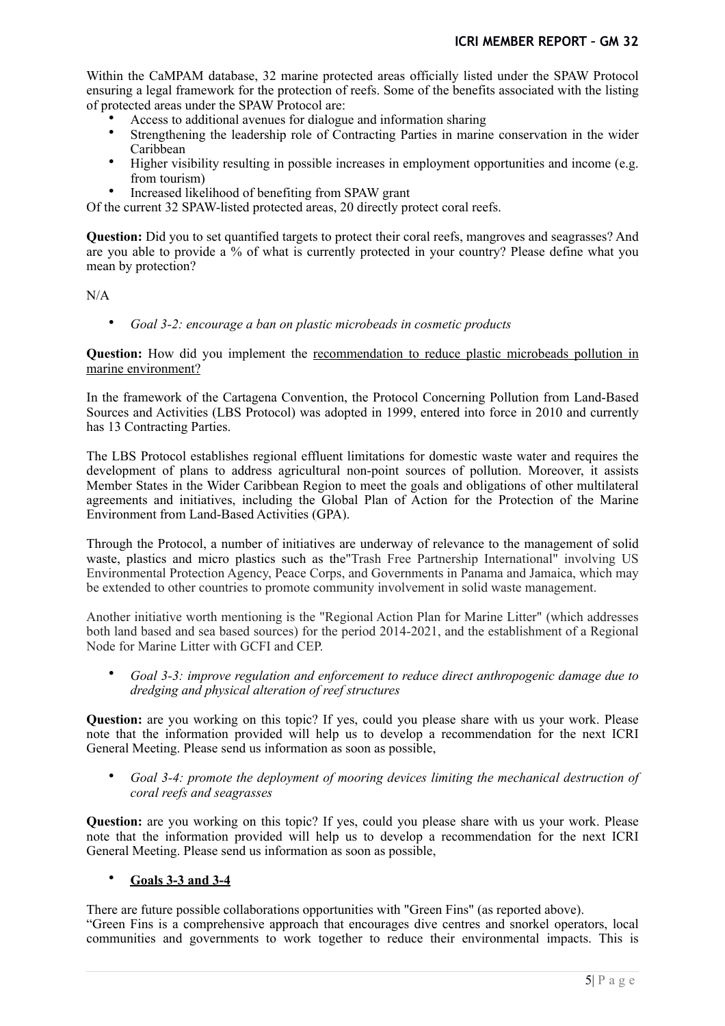Within the CaMPAM database, 32 marine protected areas officially listed under the SPAW Protocol ensuring a legal framework for the protection of reefs. Some of the benefits associated with the listing of protected areas under the SPAW Protocol are:

- Access to additional avenues for dialogue and information sharing
- Strengthening the leadership role of Contracting Parties in marine conservation in the wider Caribbean
- Higher visibility resulting in possible increases in employment opportunities and income (e.g. from tourism)
- Increased likelihood of benefiting from SPAW grant

Of the current 32 SPAW-listed protected areas, 20 directly protect coral reefs.

**Question:** Did you to set quantified targets to protect their coral reefs, mangroves and seagrasses? And are you able to provide a  $\%$  of what is currently protected in your country? Please define what you mean by protection?

N/A

• *Goal 3-2: encourage a ban on plastic microbeads in cosmetic products* 

**Question:** How did you implement the recommendation to reduce plastic microbeads pollution in marine environment?

In the framework of the Cartagena Convention, the Protocol Concerning Pollution from Land-Based Sources and Activities (LBS Protocol) was adopted in 1999, entered into force in 2010 and currently has 13 Contracting Parties.

The LBS Protocol establishes regional effluent limitations for domestic waste water and requires the development of plans to address agricultural non-point sources of pollution. Moreover, it assists Member States in the Wider Caribbean Region to meet the goals and obligations of other multilateral [agreements and initiatives, including the Global Plan of Action for the Protection of the Marine](http://www.gpa.unep.org/) Environment from Land-Based Activities (GPA).

Through the Protocol, a number of initiatives are underway of relevance to the management of solid waste, plastics and micro plastics such as the"Trash Free Partnership International" involving US Environmental Protection Agency, Peace Corps, and Governments in Panama and Jamaica, which may be extended to other countries to promote community involvement in solid waste management.

Another initiative worth mentioning is the "Regional Action Plan for Marine Litter" (which addresses both land based and sea based sources) for the period 2014-2021, and the establishment of a Regional Node for Marine Litter with GCFI and CEP.

• *Goal 3-3: improve regulation and enforcement to reduce direct anthropogenic damage due to dredging and physical alteration of reef structures* 

**Question:** are you working on this topic? If yes, could you please share with us your work. Please note that the information provided will help us to develop a recommendation for the next ICRI General Meeting. Please send us information as soon as possible,

• *Goal 3-4: promote the deployment of mooring devices limiting the mechanical destruction of coral reefs and seagrasses* 

**Question:** are you working on this topic? If yes, could you please share with us your work. Please note that the information provided will help us to develop a recommendation for the next ICRI General Meeting. Please send us information as soon as possible,

## • **Goals 3-3 and 3-4**

There are future possible collaborations opportunities with "Green Fins" (as reported above). "Green Fins is a comprehensive approach that encourages dive centres and snorkel operators, local communities and governments to work together to reduce their environmental impacts. This is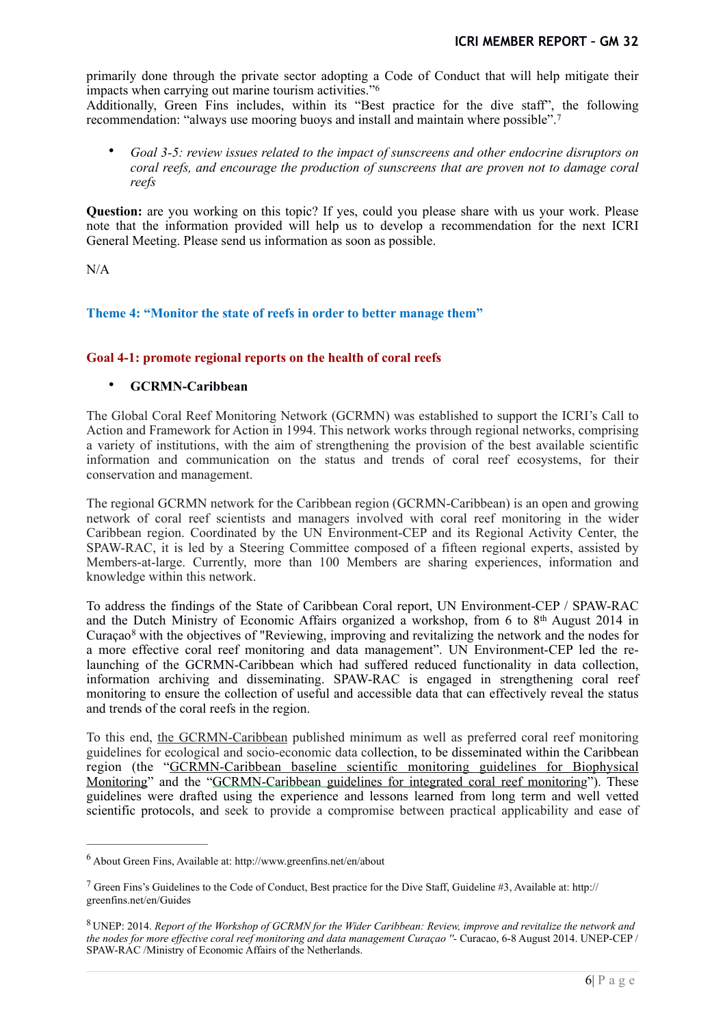primarily done through the private sector adopting a Code of Conduct that will help mitigate their impacts when carrying out marine tourism activities."[6](#page-5-0)

Additionally, Green Fins includes, within its "Best practice for the dive staff", the following recommendation: "always use mooring buoys and install and maintain where possible".[7](#page-5-1)

<span id="page-5-4"></span><span id="page-5-3"></span>• *Goal 3-5: review issues related to the impact of sunscreens and other endocrine disruptors on coral reefs, and encourage the production of sunscreens that are proven not to damage coral reefs* 

**Question:** are you working on this topic? If yes, could you please share with us your work. Please note that the information provided will help us to develop a recommendation for the next ICRI General Meeting. Please send us information as soon as possible.

N/A

# **Theme 4: "Monitor the state of reefs in order to better manage them"**

## **Goal 4-1: promote regional reports on the health of coral reefs**

#### • **GCRMN-Caribbean**

The Global Coral Reef Monitoring Network (GCRMN) was established to support the ICRI's Call to Action and Framework for Action in 1994. This network works through regional networks, comprising a variety of institutions, with the aim of strengthening the provision of the best available scientific information and communication on the status and trends of coral reef ecosystems, for their conservation and management.

The regional GCRMN network for the Caribbean region (GCRMN-Caribbean) is an open and growing network of coral reef scientists and managers involved with coral reef monitoring in the wider Caribbean region. Coordinated by the UN Environment-CEP and its Regional Activity Center, the SPAW-RAC, it is led by a Steering Committee composed of a fifteen regional experts, assisted by Members-at-large. Currently, more than 100 Members are sharing experiences, information and knowledge within this network.

<span id="page-5-5"></span>To address the findings of the State of Caribbean Coral report, UN Environment-CEP / SPAW-RAC and the Dutch Ministry of Economic Affairs organized a workshop, from 6 to 8th August 2014 in Curaçao $\delta$  with the objectives of "Reviewing, improving and revitalizing the network and the nodes for a more effective coral reef monitoring and data management". UN Environment-CEP led the relaunching of the GCRMN-Caribbean which had suffered reduced functionality in data collection, information archiving and disseminating. SPAW-RAC is engaged in strengthening coral reef monitoring to ensure the collection of useful and accessible data that can effectively reveal the status and trends of the coral reefs in the region.

To this end, [the GCRMN-Caribbean](http://www.car-spaw-rac.org/?The-GCRMN-Caribbean,637) published minimum as well as preferred coral reef monitoring guidelines for ecological and socio-economic data collection, to be disseminated within the Caribbean region (the ["GCRMN-Caribbean baseline scientific monitoring guidelines](http://www.car-spaw-rac.org/?The-GCRMN-Caribbean-guidelines,639) for Biophysical Monitoring" and the ["GCRMN-Caribbean guidelines for integrated coral reef monitorin](http://www.car-spaw-rac.org/?The-GCRMN-Caribbean-guidelines,639)g"). These guidelines were drafted using the experience and lessons learned from long term and well vetted scientific protocols, and seek to provide a compromise between practical applicability and ease of

<span id="page-5-0"></span>About Green Fins, Available at: http://www.greenfins.net/en/about [6](#page-5-3)

<span id="page-5-1"></span><sup>&</sup>lt;sup>[7](#page-5-4)</sup> Green Fins's Guidelines to the Code of Conduct, Best practice for the Dive Staff, Guideline #3, Available at: http:// greenfins.net/en/Guides

<span id="page-5-2"></span>UNEP: 2014. *Report of the Workshop of GCRMN for the Wider Caribbean: Review, improve and revitalize the network and* [8](#page-5-5) *the nodes for more effective coral reef monitoring and data management Curaçao ''-* Curacao, 6-8 August 2014. UNEP-CEP / SPAW-RAC /Ministry of Economic Affairs of the Netherlands.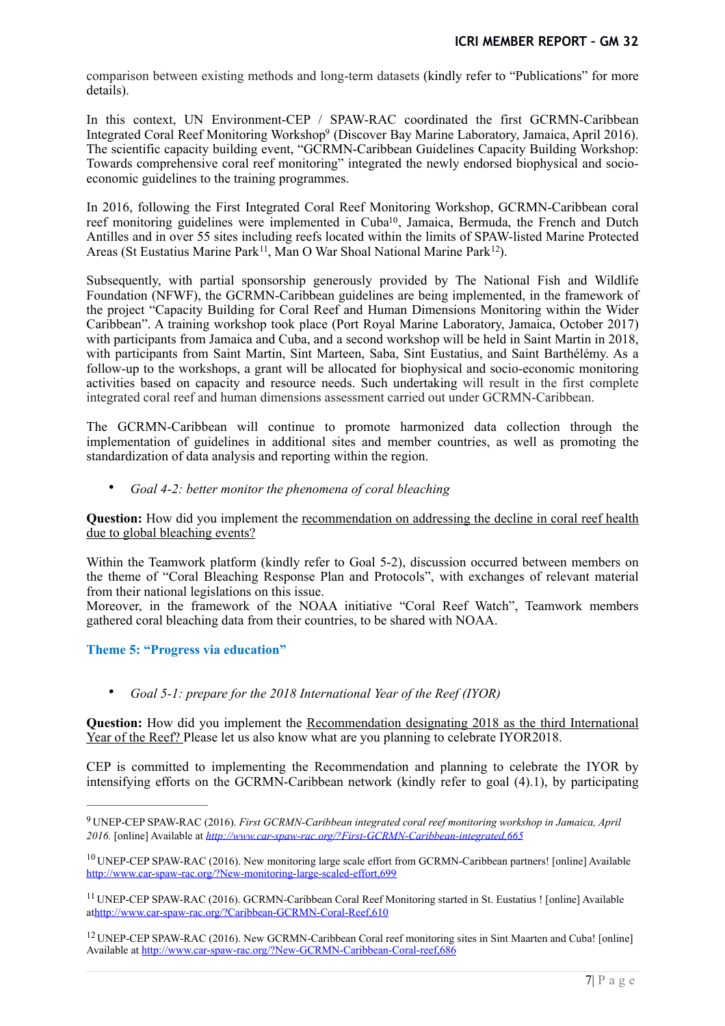comparison between existing methods and long-term datasets (kindly refer to "Publications" for more details).

<span id="page-6-4"></span>In this context, UN Environment-CEP / SPAW-RAC coordinated the first GCRMN-Caribbean Integrated Coral Reef Monitoring Workshop<sup>[9](#page-6-0)</sup> (Discover Bay Marine Laboratory, Jamaica, April 2016). The scientific capacity building event, "GCRMN-Caribbean Guidelines Capacity Building Workshop: Towards comprehensive coral reef monitoring" integrated the newly endorsed biophysical and socioeconomic guidelines to the training programmes.

<span id="page-6-5"></span>In 2016, following the First Integrated Coral Reef Monitoring Workshop, GCRMN-Caribbean coral reef monitoring guidelines were implemented in Cuba<sup>10</sup>[,](#page-6-1) Jamaica, Bermuda, the French and Dutch Antilles and in over 55 sites including reefs located within the limits of SPAW-listed Marine Protected Areas (St Eustatius Marine Park<sup>11</sup>, Man O War Shoal National Marine Park<sup>12</sup>[\)](#page-6-3).

<span id="page-6-7"></span><span id="page-6-6"></span>Subsequently, with partial sponsorship generously provided by The National Fish and Wildlife Foundation (NFWF), the GCRMN-Caribbean guidelines are being implemented, in the framework of the project "Capacity Building for Coral Reef and Human Dimensions Monitoring within the Wider Caribbean". A training workshop took place (Port Royal Marine Laboratory, Jamaica, October 2017) with participants from Jamaica and Cuba, and a second workshop will be held in Saint Martin in 2018, with participants from Saint Martin, Sint Marteen, Saba, Sint Eustatius, and Saint Barthélémy. As a follow-up to the workshops, a grant will be allocated for biophysical and socio-economic monitoring activities based on capacity and resource needs. Such undertaking will result in the first complete integrated coral reef and human dimensions assessment carried out under GCRMN-Caribbean.

The GCRMN-Caribbean will continue to promote harmonized data collection through the implementation of guidelines in additional sites and member countries, as well as promoting the standardization of data analysis and reporting within the region.

• *Goal 4-2: better monitor the phenomena of coral bleaching* 

**Question:** How did you implement the recommendation on addressing the decline in coral reef health due to global bleaching events?

Within the Teamwork platform (kindly refer to Goal 5-2), discussion occurred between members on the theme of "Coral Bleaching Response Plan and Protocols", with exchanges of relevant material from their national legislations on this issue.

Moreover, in the framework of the NOAA initiative "Coral Reef Watch", Teamwork members gathered coral bleaching data from their countries, to be shared with NOAA.

## **Theme 5: "Progress via education"**

• *Goal 5-1: prepare for the 2018 International Year of the Reef (IYOR)* 

**Question:** How did you implement the Recommendation designating 2018 as the third International Year of the Reef? Please let us also know what are you planning to celebrate IYOR2018.

CEP is committed to implementing the Recommendation and planning to celebrate the IYOR by intensifying efforts on the GCRMN-Caribbean network (kindly refer to goal (4).1), by participating

<span id="page-6-0"></span>UNEP-CEP SPAW-RAC (2016). *First GCRMN-Caribbean integrated coral reef monitoring workshop in Jamaica, April* [9](#page-6-4) *2016.* [online] Available at *<http://www.car-spaw-rac.org/?First-GCRMN-Caribbean-integrated,665>*

<span id="page-6-1"></span> $10$  UNEP-CEP SPAW-RAC (2016). New monitoring large scale effort from GCRMN-Caribbean partners! [online] Available <http://www.car-spaw-rac.org/?New-monitoring-large-scaled-effort,699>

<span id="page-6-2"></span>UNEP-CEP SPAW-RAC (2016). GCRMN-Caribbean Coral Reef Monitoring started in St. Eustatius ! [online] Available [11](#page-6-6) a[thttp://www.car-spaw-rac.org/?Caribbean-GCRMN-Coral-Reef,610](http://www.car-spaw-rac.org/?Caribbean-GCRMN-Coral-Reef,610)

<span id="page-6-3"></span><sup>&</sup>lt;sup>[12](#page-6-7)</sup> UNEP-CEP SPAW-RAC (2016). New GCRMN-Caribbean Coral reef monitoring sites in Sint Maarten and Cuba! [online] Available at<http://www.car-spaw-rac.org/?New-GCRMN-Caribbean-Coral-reef,686>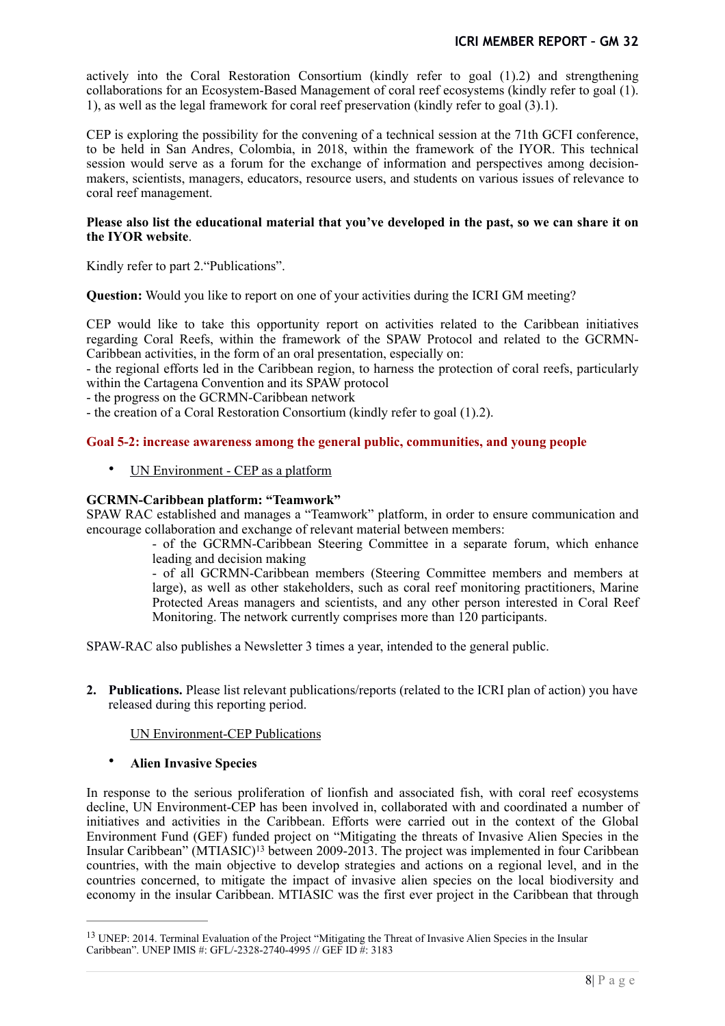actively into the Coral Restoration Consortium (kindly refer to goal (1).2) and strengthening collaborations for an Ecosystem-Based Management of coral reef ecosystems (kindly refer to goal (1). 1), as well as the legal framework for coral reef preservation (kindly refer to goal (3).1).

CEP is exploring the possibility for the convening of a technical session at the 71th GCFI conference, to be held in San Andres, Colombia, in 2018, within the framework of the IYOR. This technical session would serve as a forum for the exchange of information and perspectives among decisionmakers, scientists, managers, educators, resource users, and students on various issues of relevance to coral reef management.

#### **Please also list the educational material that you've developed in the past, so we can share it on the IYOR website**.

Kindly refer to part 2."Publications".

**Question:** Would you like to report on one of your activities during the ICRI GM meeting?

CEP would like to take this opportunity report on activities related to the Caribbean initiatives regarding Coral Reefs, within the framework of the SPAW Protocol and related to the GCRMN-Caribbean activities, in the form of an oral presentation, especially on:

- the regional efforts led in the Caribbean region, to harness the protection of coral reefs, particularly within the Cartagena Convention and its SPAW protocol

- the progress on the GCRMN-Caribbean network

- the creation of a Coral Restoration Consortium (kindly refer to goal (1).2).

#### **Goal 5-2: increase awareness among the general public, communities, and young people**

• UN Environment - CEP as a platform

#### **GCRMN-Caribbean platform: "Teamwork"**

SPAW RAC established and manages a "Teamwork" platform, in order to ensure communication and encourage collaboration and exchange of relevant material between members:

> - of the GCRMN-Caribbean Steering Committee in a separate forum, which enhance leading and decision making

- of all GCRMN-Caribbean members (Steering Committee members and members at large), as well as other stakeholders, such as coral reef monitoring practitioners, Marine Protected Areas managers and scientists, and any other person interested in Coral Reef Monitoring. The network currently comprises more than 120 participants.

SPAW-RAC also publishes a Newsletter 3 times a year, intended to the general public.

**2. Publications.** Please list relevant publications/reports (related to the ICRI plan of action) you have released during this reporting period.

#### UN Environment-CEP Publications

## <span id="page-7-1"></span>• **Alien Invasive Species**

In response to the serious proliferation of lionfish and associated fish, with coral reef ecosystems decline, UN Environment-CEP has been involved in, collaborated with and coordinated a number of initiatives and activities in the Caribbean. Efforts were carried out in the context of the Global Environment Fund (GEF) funded project on "Mitigating the threats of Invasive Alien Species in the Insular Caribbean" (MTIASIC)<sup>[13](#page-7-0)</sup> between 2009-2013. The project was implemented in four Caribbean countries, with the main objective to develop strategies and actions on a regional level, and in the countries concerned, to mitigate the impact of invasive alien species on the local biodiversity and economy in the insular Caribbean. MTIASIC was the first ever project in the Caribbean that through

<span id="page-7-0"></span><sup>&</sup>lt;sup>[13](#page-7-1)</sup> UNEP: 2014. Terminal Evaluation of the Project "Mitigating the Threat of Invasive Alien Species in the Insular Caribbean". UNEP IMIS #: GFL/-2328-2740-4995 // GEF ID #: 3183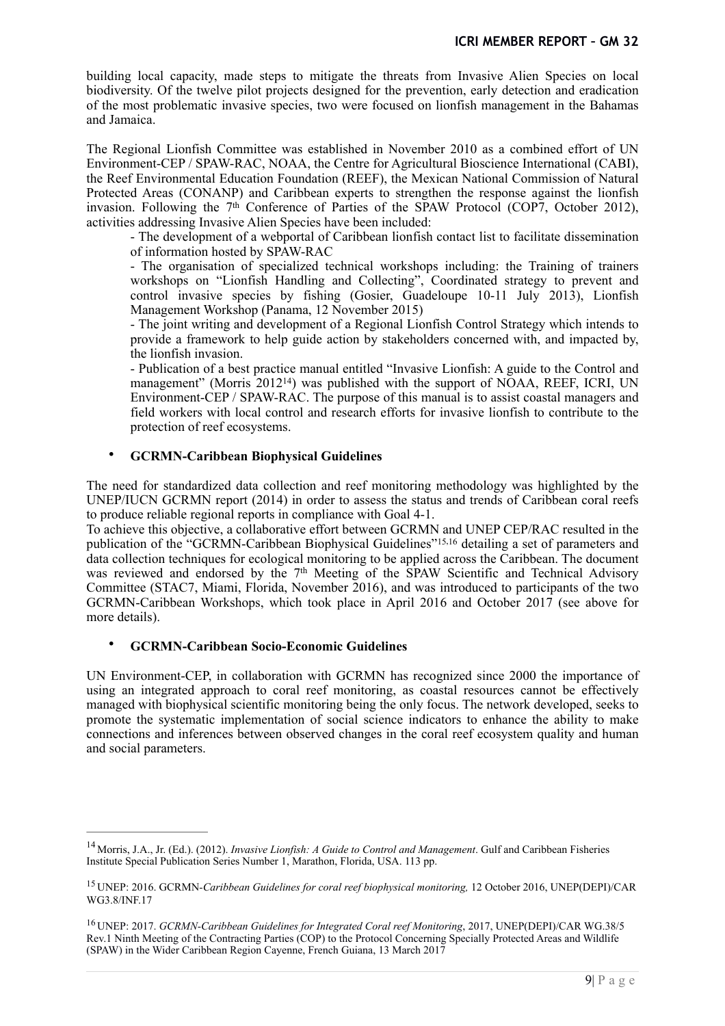building local capacity, made steps to mitigate the threats from Invasive Alien Species on local biodiversity. Of the twelve pilot projects designed for the prevention, early detection and eradication of the most problematic invasive species, two were focused on lionfish management in the Bahamas and Jamaica.

The Regional Lionfish Committee was established in November 2010 as a combined effort of UN Environment-CEP / SPAW-RAC, NOAA, the Centre for Agricultural Bioscience International (CABI), the Reef Environmental Education Foundation (REEF), the Mexican National Commission of Natural Protected Areas (CONANP) and Caribbean experts to strengthen the response against the lionfish invasion. Following the  $7<sup>th</sup>$  Conference of Parties of the SPAW Protocol (COP7, October 2012), activities addressing Invasive Alien Species have been included:

- The development of a webportal of Caribbean lionfish contact list to facilitate dissemination of information hosted by SPAW-RAC

- The organisation of specialized technical workshops including: the Training of trainers workshops on "Lionfish Handling and Collecting", Coordinated strategy to prevent and control invasive species by fishing (Gosier, Guadeloupe 10-11 July 2013), Lionfish Management Workshop (Panama, 12 November 2015)

- The joint writing and development of a Regional Lionfish Control Strategy which intends to provide a framework to help guide action by stakeholders concerned with, and impacted by, the lionfish invasion.

<span id="page-8-3"></span>- Publication of a best practice manual entitled "Invasive Lionfish: A guide to the Control and management" (Morris  $2012^{14}$  $2012^{14}$  $2012^{14}$ ) was published with the support of NOAA, REEF, ICRI, UN Environment-CEP / SPAW-RAC. The purpose of this manual is to assist coastal managers and field workers with local control and research efforts for invasive lionfish to contribute to the protection of reef ecosystems.

## <span id="page-8-5"></span><span id="page-8-4"></span>• **GCRMN-Caribbean Biophysical Guidelines**

The need for standardized data collection and reef monitoring methodology was highlighted by the UNEP/IUCN GCRMN report (2014) in order to assess the status and trends of Caribbean coral reefs to produce reliable regional reports in compliance with Goal 4-1.

To achieve this objective, a collaborative effort between GCRMN and UNEP CEP/RAC resulted in the publication of the "GCRMN-Caribbean Biophysical Guidelines" <sup>15[,](#page-8-2)16</sup> detailing a set of parameters and data collection techniques for ecological monitoring to be applied across the Caribbean. The document was reviewed and endorsed by the 7<sup>th</sup> Meeting of the SPAW Scientific and Technical Advisory Committee (STAC7, Miami, Florida, November 2016), and was introduced to participants of the two GCRMN-Caribbean Workshops, which took place in April 2016 and October 2017 (see above for more details).

## • **GCRMN-Caribbean Socio-Economic Guidelines**

UN Environment-CEP, in collaboration with GCRMN has recognized since 2000 the importance of using an integrated approach to coral reef monitoring, as coastal resources cannot be effectively managed with biophysical scientific monitoring being the only focus. The network developed, seeks to promote the systematic implementation of social science indicators to enhance the ability to make connections and inferences between observed changes in the coral reef ecosystem quality and human and social parameters.

<span id="page-8-0"></span><sup>&</sup>lt;sup>[14](#page-8-3)</sup> Morris, J.A., Jr. (Ed.). (2012). *Invasive Lionfish: A Guide to Control and Management*. Gulf and Caribbean Fisheries Institute Special Publication Series Number 1, Marathon, Florida, USA. 113 pp.

<span id="page-8-1"></span>UNEP: 2016. GCRMN*-Caribbean Guidelines for coral reef biophysical monitoring,* 12 October 2016, UNEP(DEPI)/CAR [15](#page-8-4) WG3.8/INF.17

<span id="page-8-2"></span><sup>&</sup>lt;sup>[16](#page-8-5)</sup> UNEP: 2017. *GCRMN-Caribbean Guidelines for Integrated Coral reef Monitoring*, 2017, UNEP(DEPI)/CAR WG.38/5 Rev.1 Ninth Meeting of the Contracting Parties (COP) to the Protocol Concerning Specially Protected Areas and Wildlife (SPAW) in the Wider Caribbean Region Cayenne, French Guiana, 13 March 2017